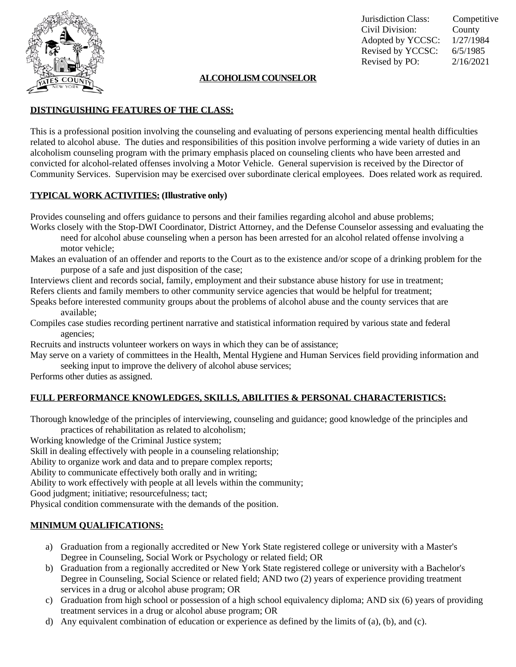

Jurisdiction Class: Competitive Civil Division: County Adopted by YCCSC: 1/27/1984 Revised by YCCSC: 6/5/1985 Revised by PO: 2/16/2021

### **ALCOHOLISMCOUNSELOR**

## **DISTINGUISHING FEATURES OF THE CLASS:**

This is a professional position involving the counseling and evaluating of persons experiencing mental health difficulties related to alcohol abuse. The duties and responsibilities of this position involve performing a wide variety of duties in an alcoholism counseling program with the primary emphasis placed on counseling clients who have been arrested and convicted for alcohol-related offenses involving a Motor Vehicle. General supervision is received by the Director of Community Services. Supervision may be exercised over subordinate clerical employees. Does related work as required.

#### **TYPICAL WORK ACTIVITIES: (Illustrative only)**

Provides counseling and offers guidance to persons and their families regarding alcohol and abuse problems;

Works closely with the Stop-DWI Coordinator, District Attorney, and the Defense Counselor assessing and evaluating the need for alcohol abuse counseling when a person has been arrested for an alcohol related offense involving a motor vehicle;

Makes an evaluation of an offender and reports to the Court as to the existence and/or scope of a drinking problem for the purpose of a safe and just disposition of the case;

Interviews client and records social, family, employment and their substance abuse history for use in treatment; Refers clients and family members to other community service agencies that would be helpful for treatment;

- Speaks before interested community groups about the problems of alcohol abuse and the county services that are available;
- Compiles case studies recording pertinent narrative and statistical information required by various state and federal agencies;

Recruits and instructs volunteer workers on ways in which they can be of assistance;

May serve on a variety of committees in the Health, Mental Hygiene and Human Services field providing information and seeking input to improve the delivery of alcohol abuse services;

Performs other duties as assigned.

# **FULL PERFORMANCE KNOWLEDGES, SKILLS, ABILITIES & PERSONAL CHARACTERISTICS:**

Thorough knowledge of the principles of interviewing, counseling and guidance; good knowledge of the principles and practices of rehabilitation as related to alcoholism;

Working knowledge of the Criminal Justice system;

Skill in dealing effectively with people in a counseling relationship;

Ability to organize work and data and to prepare complex reports;

Ability to communicate effectively both orally and in writing;

Ability to work effectively with people at all levels within the community;

Good judgment; initiative; resourcefulness; tact;

Physical condition commensurate with the demands of the position.

#### **MINIMUM QUALIFICATIONS:**

- a) Graduation from a regionally accredited or New York State registered college or university with a Master's Degree in Counseling, Social Work or Psychology or related field; OR
- b) Graduation from a regionally accredited or New York State registered college or university with a Bachelor's Degree in Counseling, Social Science or related field; AND two (2) years of experience providing treatment services in a drug or alcohol abuse program; OR
- c) Graduation from high school or possession of a high school equivalency diploma; AND six (6) years of providing treatment services in a drug or alcohol abuse program; OR
- d) Any equivalent combination of education or experience as defined by the limits of (a), (b), and (c).